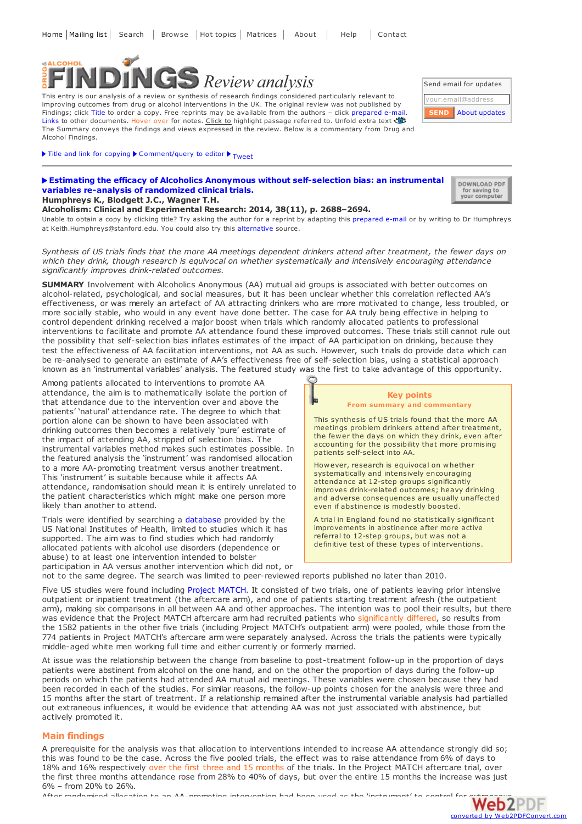# ALCOHOL *Review analysis*

This entry is our analysis of a review or synthesis of research findings considered particularly relevant to improving outcomes from drug or alcohol interventions in the UK. The original review was not published by Findings; click Title to order a copy. Free reprints may be available from the authors – click prepared e-mail. Links to other documents. Hover over for notes. Click to highlight passage referred to. Unfold extra text The Summary conveys the findings and views expressed in the review. Below is a commentary from Drug and Alcohol Findings.

|                    | Send email for updates    |
|--------------------|---------------------------|
| your.email@address |                           |
|                    | <b>SEND</b> About updates |

Title and link for [copying](javascript:;)  $\blacktriangleright$  [Comment/query](mailto:editor@findings.org.uk?Subject=Findings entry: Estimating the efficacy of Alcoholics Anonymous without self-selection bias: an instrumental variables re-analysis of randomized clinical trials&body=Dear Editor%0A%0ARegarding the Findings document:%0AEstimating the efficacy of Alcoholics Anonymous without self-selection bias: an instrumental variables re-analysis of randomized clinical trials%0Aat:%0Ahttps://findings.org.uk/PHP/dl.php?file=Humphreys_K_28.txt%0A%0AI would appreciate your response to this comment/query:%0A[Enter your comment/query here]) to editor  $\blacktriangleright$  [Tweet](https://twitter.com/share)

#### **Estimating the efficacy of Alcoholics Anonymous without [self-selection](http://dx.doi.org/10.1111/acer.12557) bias: an instrumental variables re-analysis of randomized clinical trials. Humphreys K., Blodgett J.C., Wagner T.H.**

DOWNLOAD PDF for saving to vour computer

## **Alcoholism: Clinical and Experimental Research: 2014, 38(11), p. 2688–2694.**

Unable to obtain a copy by clicking title? Try asking the author for a reprint by adapting this [prepared](mailto:Keith.Humphreys@stanford.edu?Subject=Reprint request&body=Dear Dr Humphreys%0A%0AOn the Drug and Alcohol Findings web site (https://findings.org.uk) I read about your article:%0AHumphreys K., Blodgett J.C., Wagner T.H. Estimating the efficacy of Alcoholics Anonymous without self-selection bias: an instrumental variables re-analysis of randomized clinical trials. Alcoholism: Clinical and Experimental Research: 2014, 38(11), p. 2688-2694.%0A%0AWould it be possible for me to be sent a PDF reprint or the manuscript by replying to this e-mail?%0A) e-mail or by writing to Dr Humphreys at Keith.Humphreys@stanford.edu. You could also try this [alternative](https://www.ncbi.nlm.nih.gov/pmc/articles/PMC4285560/) source.

## Synthesis of US trials finds that the more AA meetings dependent drinkers attend after treatment, the fewer days on *which they drink, though research is equivocal on whether systematically and intensively encouraging attendance significantly improves drink-related outcomes.*

**SUMMARY** Involvement with Alcoholics Anonymous (AA) mutual aid groups is associated with better outcomes on alcohol-related, psychological, and social measures, but it has been unclear whether this correlation reflected AA's effectiveness, or was merely an artefact of AA attracting drinkers who are more motivated to change, less troubled, or more socially stable, who would in any event have done better. The case for AA truly being effective in helping to control dependent drinking received a major boost when trials which randomly allocated patients to professional interventions to facilitate and promote AA attendance found these improved outcomes. These trials still cannot rule out the possibility that self-selection bias inflates estimates of the impact of AA participation on drinking, because they test the effectiveness of AA facilitation interventions, not AA as such. However, such trials do provide data which can be re-analysed to generate an estimate of AA's effectiveness free of self-selection bias, using a statistical approach known as an 'instrumental variables' analysis. The featured study was the first to take advantage of this opportunity.

Among patients allocated to interventions to promote AA attendance, the aim is to mathematically isolate the portion of that attendance due to the intervention over and above the patients' 'natural' attendance rate. The degree to which that portion alone can be shown to have been associated with drinking outcomes then becomes a relatively 'pure' estimate of the impact of attending AA, stripped of selection bias. The instrumental variables method makes such estimates possible. In the featured analysis the 'instrument' was randomised allocation to a more AA-promoting treatment versus another treatment. This 'instrument' is suitable because while it affects AA attendance, randomisation should mean it is entirely unrelated to the patient characteristics which might make one person more likely than another to attend.

Trials were identified by searching a [database](https://projectreporter.nih.gov/reporter.cfm) provided by the US National Institutes of Health, limited to studies which it has supported. The aim was to find studies which had randomly allocated patients with alcohol use disorders (dependence or abuse) to at least one intervention intended to bolster participation in AA versus another intervention which did not, or



not to the same degree. The search was limited to peer-reviewed reports published no later than 2010.

Five US studies were found including [Project](https://findings.org.uk/PHP/dl.php?file=Ashton_M_13.pdf&s=eb) MATCH. It consisted of two trials, one of patients leaving prior intensive outpatient or inpatient treatment (the aftercare arm), and one of patients starting treatment afresh (the outpatient arm), making six comparisons in all between AA and other approaches. The intention was to pool their results, but there was evidence that the Project MATCH aftercare arm had recruited patients who significantly differed, so results from the 1582 patients in the other five trials (including Project MATCH's outpatient arm) were pooled, while those from the 774 patients in Project MATCH's aftercare arm were separately analysed. Across the trials the patients were typically middle-aged white men working full time and either currently or formerly married.

At issue was the relationship between the change from baseline to post-treatment follow-up in the proportion of days patients were abstinent from alcohol on the one hand, and on the other the proportion of days during the follow-up periods on which the patients had attended AA mutual aid meetings. These variables were chosen because they had been recorded in each of the studies. For similar reasons, the follow-up points chosen for the analysis were three and 15 months after the start of treatment. If a relationship remained after the instrumental variable analysis had partialled out extraneous influences, it would be evidence that attending AA was not just associated with abstinence, but actively promoted it.

# **Main findings**

A prerequisite for the analysis was that allocation to interventions intended to increase AA attendance strongly did so; this was found to be the case. Across the five pooled trials, the effect was to raise attendance from 6% of days to 18% and 16% respectively over the first three and 15 months of the trials. In the Project MATCH aftercare trial, over the first three months attendance rose from 28% to 40% of days, but over the entire 15 months the increase [was](http://www.web2pdfconvert.com?ref=PDF) just 6% – from 20% to 26%.

After randomised allocation to an AA-promoting intervention had been used as the 'instrument' to control for extraneous

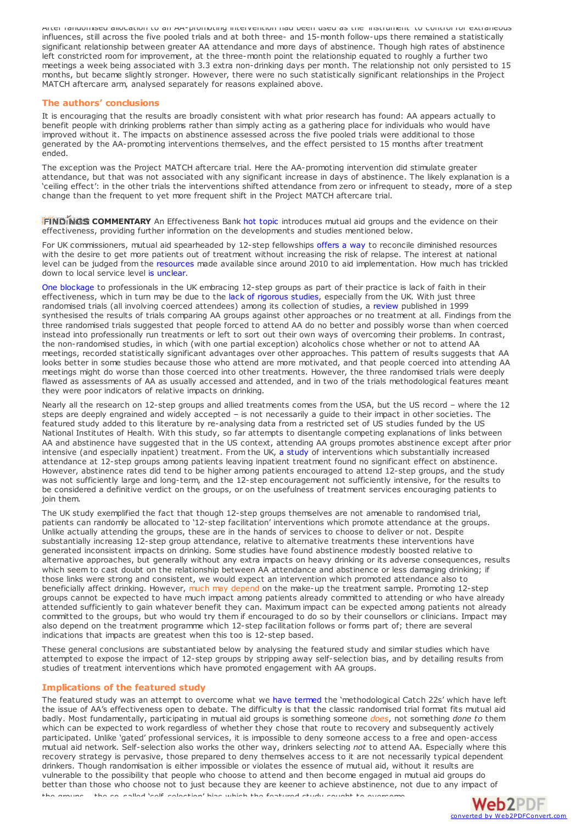After randomised allocation to an AA-promoting intervention had been used as the 'instrument' to control for extraneous influences, still across the five pooled trials and at both three- and 15-month follow-ups there remained a statistically significant relationship between greater AA attendance and more days of abstinence. Though high rates of abstinence left constricted room for improvement, at the three-month point the relationship equated to roughly a further two meetings a week being associated with 3.3 extra non-drinking days per month. The relationship not only persisted to 15 months, but became slightly stronger. However, there were no such statistically significant relationships in the Project MATCH aftercare arm, analysed separately for reasons explained above.

# **The authors' conclusions**

It is encouraging that the results are broadly consistent with what prior research has found: AA appears actually to benefit people with drinking problems rather than simply acting as a gathering place for individuals who would have improved without it. The impacts on abstinence assessed across the five pooled trials were additional to those generated by the AA-promoting interventions themselves, and the effect persisted to 15 months after treatment ended.

The exception was the Project MATCH aftercare trial. Here the AA-promoting intervention did stimulate greater attendance, but that was not associated with any significant increase in days of abstinence. The likely explanation is a 'ceiling effect': in the other trials the interventions shifted attendance from zero or infrequent to steady, more of a step change than the frequent to yet more frequent shift in the Project MATCH aftercare trial.

**FINDINGS COMMENTARY** An Effectiveness Bank hot [topic](https://findings.org.uk/PHP/dl.php?file=steps.hot&s=eb) introduces mutual aid groups and the evidence on their effectiveness, providing further information on the developments and studies mentioned below.

For UK commissioners, mutual aid spearheaded by 12-step fellowships [offers](https://findings.org.uk/PHP/dl.php?file=NTA_10.cab&s=eb) a way to reconcile diminished resources with the desire to get more patients out of treatment without increasing the risk of relapse. The interest at national level can be judged from the [resources](http://www.skillsconsortium.org.uk/intervention-details.aspx?p=9&d=0&int=46) made available since around 2010 to aid implementation. How much has trickled down to local service level is [unclear](https://findings.org.uk/PHP/dl.php?file=steps.hot&s=eb).

One [blockage](http://dx.doi.org/10.1080/1556035X.2010.523362) to professionals in the UK embracing 12-step groups as part of their practice is lack of faith in their effectiveness, which in turn may be due to the lack of [rigorous](http://dx.doi.org/10.1002/14651858.CD005032.pub2) studies, especially from the UK. With just three randomised trials (all involving coerced attendees) among its collection of studies, a [review](https://findings.org.uk/PHP/dl.php?file=nug_4_11.pdf&s=eb) published in 1999 synthesised the results of trials comparing AA groups against other approaches or no treatment at all. Findings from the three randomised trials suggested that people forced to attend AA do no better and possibly worse than when coerced instead into professionally run treatments or left to sort out their own ways of overcoming their problems. In contrast, the non-randomised studies, in which (with one partial exception) alcoholics chose whether or not to attend AA meetings, recorded statistically significant advantages over other approaches. This pattern of results suggests that AA looks better in some studies because those who attend are more motivated, and that people coerced into attending AA meetings might do worse than those coerced into other treatments. However, the three randomised trials were deeply flawed as assessments of AA as usually accessed and attended, and in two of the trials methodological features meant they were poor indicators of relative impacts on drinking.

Nearly all the research on 12-step groups and allied treatments comes from the USA, but the US record – where the 12 steps are deeply engrained and widely accepted – is not necessarily a guide to their impact in other societies. The featured study added to this literature by re-analysing data from a restricted set of US studies funded by the US National Institutes of Health. With this study, so far attempts to disentangle competing explanations of links between AA and abstinence have suggested that in the US context, attending AA groups promotes abstinence except after prior intensive (and especially inpatient) treatment. From the UK, a [study](https://findings.org.uk/PHP/dl.php?file=Manning_V_3.txt&s=eb) of interventions which substantially increased attendance at 12-step groups among patients leaving inpatient treatment found no significant effect on abstinence. However, abstinence rates did tend to be higher among patients encouraged to attend 12-step groups, and the study was not sufficiently large and long-term, and the 12-step encouragement not sufficiently intensive, for the results to be considered a definitive verdict on the groups, or on the usefulness of treatment services encouraging patients to join them.

The UK study exemplified the fact that though 12-step groups themselves are not amenable to randomised trial, patients can randomly be allocated to '12-step facilitation' interventions which promote attendance at the groups. Unlike actually attending the groups, these are in the hands of services to choose to deliver or not. Despite substantially increasing 12-step group attendance, relative to alternative treatments these interventions have generated inconsistent impacts on drinking. Some studies have found abstinence modestly boosted relative to alternative approaches, but generally without any extra impacts on heavy drinking or its adverse consequences, results which seem to cast doubt on the relationship between AA attendance and abstinence or less damaging drinking; if those links were strong and consistent, we would expect an intervention which promoted attendance also to beneficially affect drinking. However, much may depend on the make-up the treatment sample. Promoting 12-step groups cannot be expected to have much impact among patients already committed to attending or who have already attended sufficiently to gain whatever benefit they can. Maximum impact can be expected among patients not already committed to the groups, but who would try them if encouraged to do so by their counsellors or clinicians. Impact may also depend on the treatment programme which 12-step facilitation follows or forms part of; there are several indications that impacts are greatest when this too is 12-step based.

These general conclusions are substantiated below by analysing the featured study and similar studies which have attempted to expose the impact of 12-step groups by stripping away self-selection bias, and by detailing results from studies of treatment interventions which have promoted engagement with AA groups.

# **Implications of the featured study**

The featured study was an attempt to overcome what we have [termed](https://findings.org.uk/PHP/dl.php?file=steps.hot&s=eb#22) the 'methodological Catch 22s' which have left the issue of AA's effectiveness open to debate. The difficulty is that the classic randomised trial format fits mutual aid badly. Most fundamentally, participating in mutual aid groups is something someone *does*, not something *done to* them which can be expected to work regardless of whether they chose that route to recovery and subsequently actively participated. Unlike 'gated' professional services, it is impossible to deny someone access to a free and open-access mutual aid network. Self-selection also works the other way, drinkers selecting *not* to attend AA. Especially where this recovery strategy is pervasive, those prepared to deny themselves access to it are not necessarily typical dependent drinkers. Though randomisation is either impossible or violates the essence of mutual aid, without it results are vulnerable to the possibility that people who choose to attend and then become engaged in mutual aid groups do better than those who choose not to just because they are keener to achieve abstinence, not due to any [impact](http://www.web2pdfconvert.com?ref=PDF) of the groups – the so-called 'self-selection' bias which the featured study sought to overcome.

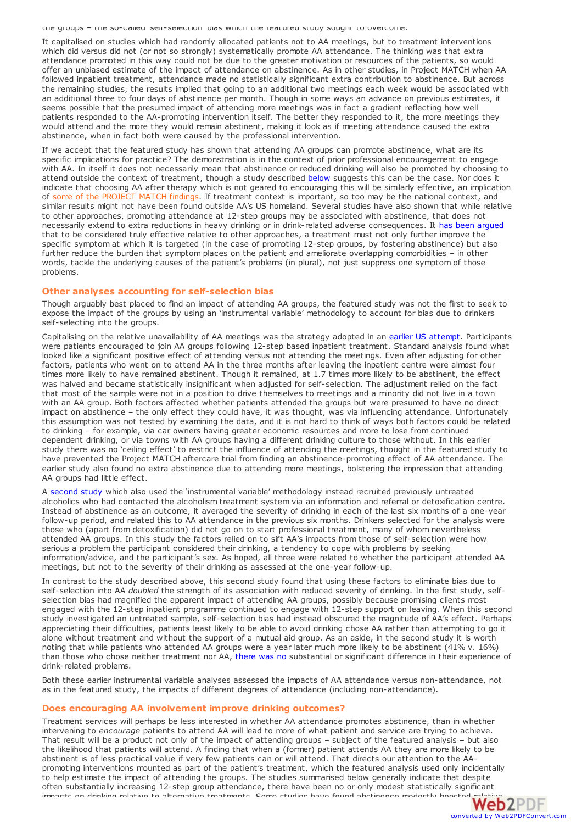the groups – the so-called 'self-selection' bias which the featured study sought to overcome.

It capitalised on studies which had randomly allocated patients not to AA meetings, but to treatment interventions which did versus did not (or not so strongly) systematically promote AA attendance. The thinking was that extra attendance promoted in this way could not be due to the greater motivation or resources of the patients, so would offer an unbiased estimate of the impact of attendance on abstinence. As in other studies, in Project MATCH when AA followed inpatient treatment, attendance made no statistically significant extra contribution to abstinence. But across the remaining studies, the results implied that going to an additional two meetings each week would be associated with an additional three to four days of abstinence per month. Though in some ways an advance on previous estimates, it seems possible that the presumed impact of attending more meetings was in fact a gradient reflecting how well patients responded to the AA-promoting intervention itself. The better they responded to it, the more meetings they would attend and the more they would remain abstinent, making it look as if meeting attendance caused the extra abstinence, when in fact both were caused by the professional intervention.

If we accept that the featured study has shown that attending AA groups can promote abstinence, what are its specific implications for practice? The demonstration is in the context of prior professional encouragement to engage with AA. In itself it does not necessarily mean that abstinence or reduced drinking will also be promoted by choosing to attend outside the context of treatment, though a study described [below](#page-2-0) suggests this can be the case. Nor does it indicate that choosing AA after therapy which is not geared to encouraging this will be similarly effective, an implication of some of the PROJECT MATCH findings. If treatment context is important, so too may be the national context, and similar results might not have been found outside AA's US homeland. Several studies have also shown that while relative to other approaches, promoting attendance at 12-step groups may be associated with abstinence, that does not necessarily extend to extra reductions in heavy drinking or in drink-related adverse consequences. It has been [argued](http://dx.doi.org/10.1080/10503307.2016.1249433) that to be considered truly effective relative to other approaches, a treatment must not only further improve the specific symptom at which it is targeted (in the case of promoting 12-step groups, by fostering abstinence) but also further reduce the burden that symptom places on the patient and ameliorate overlapping comorbidities – in other words, tackle the underlying causes of the patient's problems (in plural), not just suppress one symptom of those problems.

## **Other analyses accounting for self-selection bias**

Though arguably best placed to find an impact of attending AA groups, the featured study was not the first to seek to expose the impact of the groups by using an 'instrumental variable' methodology to account for bias due to drinkers self-selecting into the groups.

Capitalising on the relative unavailability of AA meetings was the strategy adopted in an earlier US [attempt](http://dx.doi.org/10.15288/jsa.1998.59.690). Participants were patients encouraged to join AA groups following 12-step based inpatient treatment. Standard analysis found what looked like a significant positive effect of attending versus not attending the meetings. Even after adjusting for other factors, patients who went on to attend AA in the three months after leaving the inpatient centre were almost four times more likely to have remained abstinent. Though it remained, at 1.7 times more likely to be abstinent, the effect was halved and became statistically insignificant when adjusted for self-selection. The adjustment relied on the fact that most of the sample were not in a position to drive themselves to meetings and a minority did not live in a town with an AA group. Both factors affected whether patients attended the groups but were presumed to have no direct impact on abstinence – the only effect they could have, it was thought, was via influencing attendance. Unfortunately this assumption was not tested by examining the data, and it is not hard to think of ways both factors could be related to drinking – for example, via car owners having greater economic resources and more to lose from continued dependent drinking, or via towns with AA groups having a different drinking culture to those without. In this earlier study there was no 'ceiling effect' to restrict the influence of attending the meetings, thought in the featured study to have prevented the Project MATCH aftercare trial from finding an abstinence-promoting effect of AA attendance. The earlier study also found no extra abstinence due to attending more meetings, bolstering the impression that attending AA groups had little effect.

<span id="page-2-0"></span>A [second](http://dx.doi.org/10.1016/S0149-7189(96)00028-6) study which also used the 'instrumental variable' methodology instead recruited previously untreated alcoholics who had contacted the alcoholism treatment system via an information and referral or detoxification centre. Instead of abstinence as an outcome, it averaged the severity of drinking in each of the last six months of a one-year follow-up period, and related this to AA attendance in the previous six months. Drinkers selected for the analysis were those who (apart from detoxification) did not go on to start professional treatment, many of whom nevertheless attended AA groups. In this study the factors relied on to sift AA's impacts from those of self-selection were how serious a problem the participant considered their drinking, a tendency to cope with problems by seeking information/advice, and the participant's sex. As hoped, all three were related to whether the participant attended AA meetings, but not to the severity of their drinking as assessed at the one-year follow-up.

In contrast to the study described above, this second study found that using these factors to eliminate bias due to self-selection into AA *doubled* the strength of its association with reduced severity of drinking. In the first study, selfselection bias had magnified the apparent impact of attending AA groups, possibly because promising clients most engaged with the 12-step inpatient programme continued to engage with 12-step support on leaving. When this second study investigated an untreated sample, self-selection bias had instead obscured the magnitude of AA's effect. Perhaps appreciating their difficulties, patients least likely to be able to avoid drinking chose AA rather than attempting to go it alone without treatment and without the support of a mutual aid group. As an aside, in the second study it is worth noting that while patients who attended AA groups were a year later much more likely to be abstinent (41% v. 16%) than those who chose neither treatment nor AA, [there](http://dx.doi.org/10.1007/BF02521322) was no substantial or significant difference in their experience of drink-related problems.

Both these earlier instrumental variable analyses assessed the impacts of AA attendance versus non-attendance, not as in the featured study, the impacts of different degrees of attendance (including non-attendance).

# **Does encouraging AA involvement improve drinking outcomes?**

Treatment services will perhaps be less interested in whether AA attendance promotes abstinence, than in whether intervening to *encourage* patients to attend AA will lead to more of what patient and service are trying to achieve. That result will be a product not only of the impact of attending groups – subject of the featured analysis – but also the likelihood that patients will attend. A finding that when a (former) patient attends AA they are more likely to be abstinent is of less practical value if very few patients can or will attend. That directs our attention to the AApromoting interventions mounted as part of the patient's treatment, which the featured analysis used only incidentally to help estimate the impact of attending the groups. The studies summarised below generally indicate that d[espite](http://www.web2pdfconvert.com?ref=PDF) often substantially increasing 12-step group attendance, there have been no or only modest statistically [significant](http://www.web2pdfconvert.com?ref=PDF) impacts on drinking relative to alternative treatments. Some studies have found abstinence modestly boosted relative<br>Latin in drinking relative to alternative treatments.